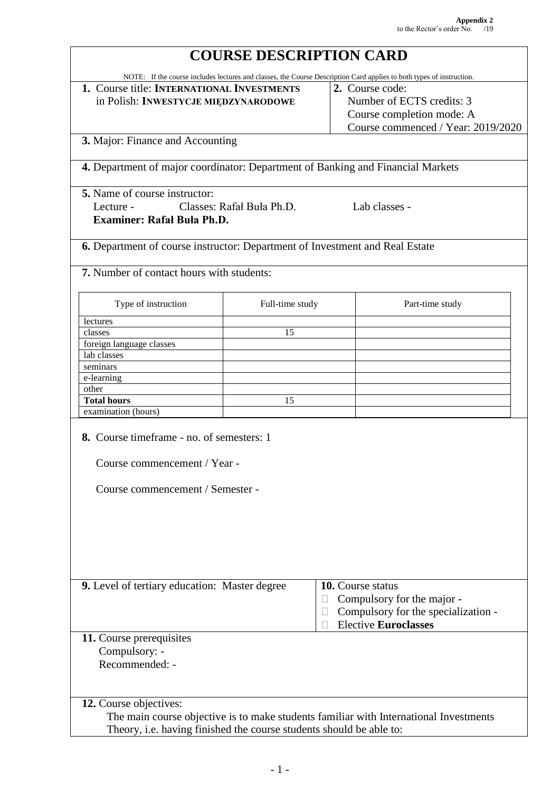| <b>COURSE DESCRIPTION CARD</b>                                                                                                                                                      |                           |  |                                                                                       |  |
|-------------------------------------------------------------------------------------------------------------------------------------------------------------------------------------|---------------------------|--|---------------------------------------------------------------------------------------|--|
| NOTE: If the course includes lectures and classes, the Course Description Card applies to both types of instruction.                                                                |                           |  |                                                                                       |  |
| 1. Course title: INTERNATIONAL INVESTMENTS<br>2. Course code:                                                                                                                       |                           |  |                                                                                       |  |
| in Polish: INWESTYCJE MIEDZYNARODOWE                                                                                                                                                |                           |  | Number of ECTS credits: 3                                                             |  |
|                                                                                                                                                                                     |                           |  | Course completion mode: A                                                             |  |
|                                                                                                                                                                                     |                           |  | Course commenced / Year: 2019/2020                                                    |  |
|                                                                                                                                                                                     |                           |  |                                                                                       |  |
| 3. Major: Finance and Accounting                                                                                                                                                    |                           |  |                                                                                       |  |
| 4. Department of major coordinator: Department of Banking and Financial Markets                                                                                                     |                           |  |                                                                                       |  |
| 5. Name of course instructor:<br>Lecture -<br><b>Examiner: Rafal Bula Ph.D.</b>                                                                                                     | Classes: Rafał Buła Ph.D. |  | Lab classes -                                                                         |  |
| 6. Department of course instructor: Department of Investment and Real Estate                                                                                                        |                           |  |                                                                                       |  |
| 7. Number of contact hours with students:                                                                                                                                           |                           |  |                                                                                       |  |
| Type of instruction                                                                                                                                                                 | Full-time study           |  | Part-time study                                                                       |  |
| lectures                                                                                                                                                                            |                           |  |                                                                                       |  |
| classes                                                                                                                                                                             | 15                        |  |                                                                                       |  |
| foreign language classes                                                                                                                                                            |                           |  |                                                                                       |  |
| lab classes                                                                                                                                                                         |                           |  |                                                                                       |  |
| seminars                                                                                                                                                                            |                           |  |                                                                                       |  |
| e-learning                                                                                                                                                                          |                           |  |                                                                                       |  |
| other                                                                                                                                                                               |                           |  |                                                                                       |  |
| <b>Total hours</b>                                                                                                                                                                  | 15                        |  |                                                                                       |  |
| examination (hours)                                                                                                                                                                 |                           |  |                                                                                       |  |
| 8. Course timeframe - no. of semesters: 1<br>Course commencement / Year -<br>Course commencement / Semester -<br>9. Level of tertiary education: Master degree<br>10. Course status |                           |  |                                                                                       |  |
| Compulsory for the major -<br>Compulsory for the specialization -<br><b>Elective Euroclasses</b>                                                                                    |                           |  |                                                                                       |  |
| 11. Course prerequisites<br>Compulsory: -<br>Recommended: -                                                                                                                         |                           |  |                                                                                       |  |
| 12. Course objectives:<br>Theory, i.e. having finished the course students should be able to:                                                                                       |                           |  | The main course objective is to make students familiar with International Investments |  |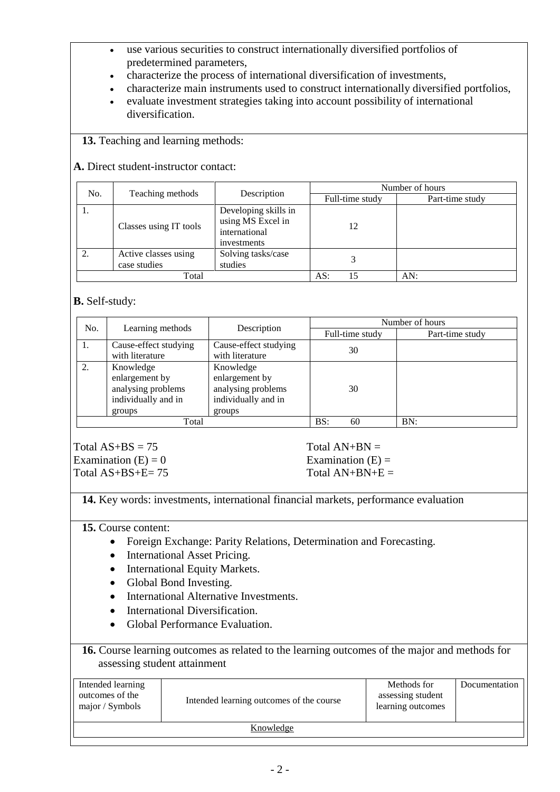- use various securities to construct internationally diversified portfolios of predetermined parameters,
- characterize the process of international diversification of investments,
- characterize main instruments used to construct internationally diversified portfolios,
- evaluate investment strategies taking into account possibility of international diversification.

**13.** Teaching and learning methods:

**A.** Direct student-instructor contact:

| No. |                                      | Description                                                               | Number of hours |                 |  |
|-----|--------------------------------------|---------------------------------------------------------------------------|-----------------|-----------------|--|
|     | Teaching methods                     |                                                                           | Full-time study | Part-time study |  |
| .,  | Classes using IT tools               | Developing skills in<br>using MS Excel in<br>international<br>investments | 12              |                 |  |
|     | Active classes using<br>case studies | Solving tasks/case<br>studies                                             |                 |                 |  |
|     | Total                                |                                                                           | AS:             | AN:             |  |

## **B.** Self-study:

| No.<br>Learning methods | Description                                                                        | Number of hours                                                                    |                 |                 |
|-------------------------|------------------------------------------------------------------------------------|------------------------------------------------------------------------------------|-----------------|-----------------|
|                         |                                                                                    |                                                                                    | Full-time study | Part-time study |
| 1.                      | Cause-effect studying<br>with literature                                           | Cause-effect studying<br>with literature                                           | 30              |                 |
| 2.                      | Knowledge<br>enlargement by<br>analysing problems<br>individually and in<br>groups | Knowledge<br>enlargement by<br>analysing problems<br>individually and in<br>groups | 30              |                 |
| Total                   |                                                                                    | BS:<br>60                                                                          | BN:             |                 |

Total  $AS+BS = 75$  Total  $AN+BN =$ Examination  $(E) = 0$  Examination  $(E) = 0$ Total  $AS+BS+E= 75$  Total  $AN+BN+E=$ 

**14.** Key words: investments, international financial markets, performance evaluation

**15.** Course content:

- Foreign Exchange: Parity Relations, Determination and Forecasting.
- International Asset Pricing.
- International Equity Markets.
- Global Bond Investing.
- International Alternative Investments.
- International Diversification.
- Global Performance Evaluation.

**16.** Course learning outcomes as related to the learning outcomes of the major and methods for assessing student attainment

| Intended learning<br>outcomes of the<br>major / Symbols | Intended learning outcomes of the course | Methods for<br>assessing student<br>learning outcomes | Documentation |
|---------------------------------------------------------|------------------------------------------|-------------------------------------------------------|---------------|
| Knowledge                                               |                                          |                                                       |               |